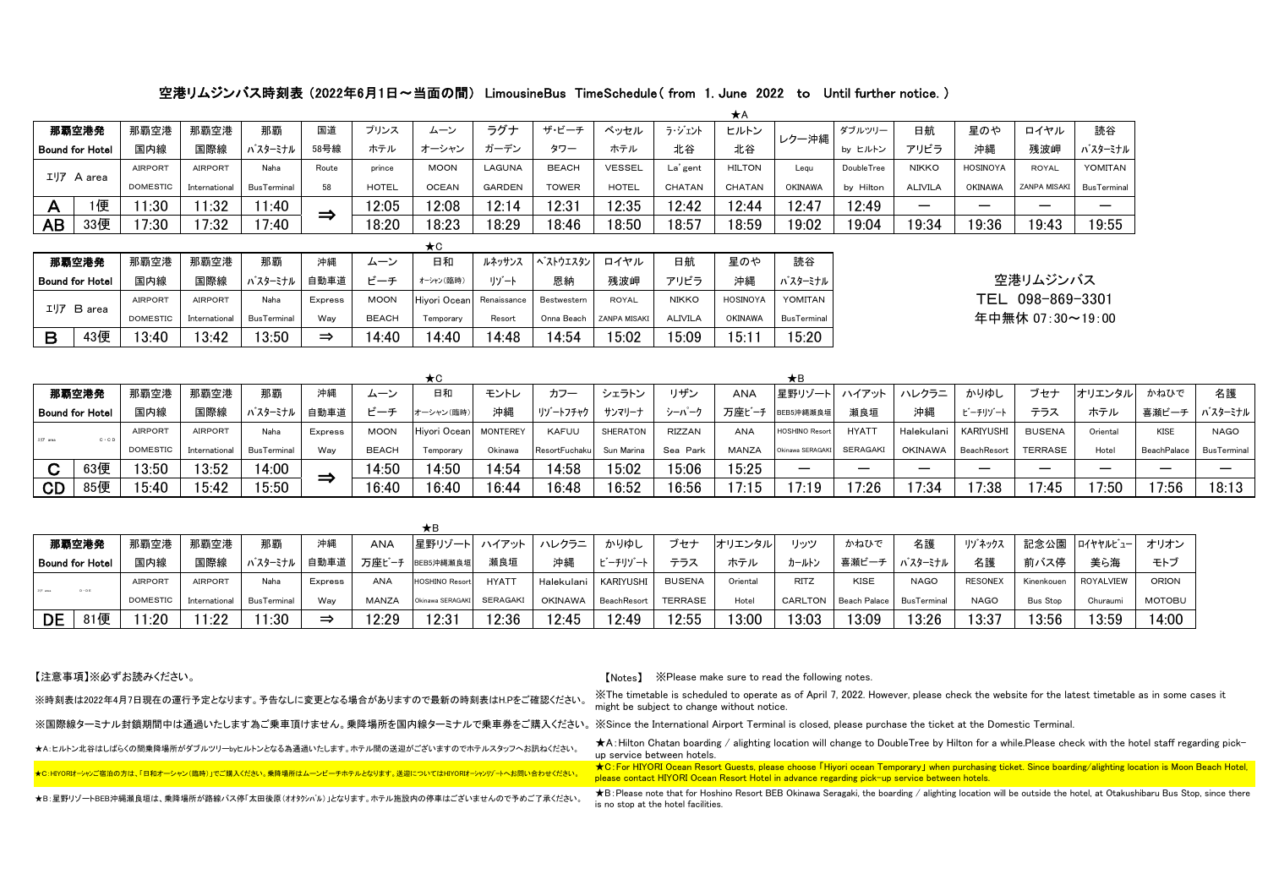## 空港リムジンバス時刻表 (2022年6月1日~当面の間) LimousineBus TimeSchedule( from 1. June 2022 to Until further notice. )

|           | 那覇空港発                  | 那覇空港              | 那覇空港           | 那覇                 | 国道             | プリンス         | ムーン                                                                                              | ラグナ             | ザ・ビーチ         | ベッセル                                                                                                    | ラ・シェント         | ヒルトン                                       | レクー沖縄                                                  | ダブルツリー              | 日航                       | 星のや              | ロイヤル             | 読谷                                                                                                                                                              |               |                    |
|-----------|------------------------|-------------------|----------------|--------------------|----------------|--------------|--------------------------------------------------------------------------------------------------|-----------------|---------------|---------------------------------------------------------------------------------------------------------|----------------|--------------------------------------------|--------------------------------------------------------|---------------------|--------------------------|------------------|------------------|-----------------------------------------------------------------------------------------------------------------------------------------------------------------|---------------|--------------------|
|           | <b>Bound for Hotel</b> | 国内線               | 国際線            | バスターミナル            | 58号線           | ホテル          | オーシャン                                                                                            | ガーデン            | タワー           | ホテル                                                                                                     | 北谷             | 北谷                                         |                                                        | by ヒルトン             | アリビラ                     | 沖縄               | 残波岬              | バスターミナル                                                                                                                                                         |               |                    |
|           |                        | <b>AIRPORT</b>    | <b>AIRPORT</b> | Naha               | Route          | prince       | <b>MOON</b>                                                                                      | LAGUNA          | <b>BEACH</b>  | <b>VESSEL</b>                                                                                           | La' gent       | <b>HILTON</b>                              | Legu                                                   | DoubleTree          | <b>NIKKO</b>             | <b>HOSINOYA</b>  | ROYAL            | YOMITAN                                                                                                                                                         |               |                    |
|           | エリア A area             | <b>DOMESTIC</b>   | International  | <b>BusTerminal</b> | 58             | <b>HOTEL</b> | <b>OCEAN</b>                                                                                     | <b>GARDEN</b>   | <b>TOWER</b>  | <b>HOTEL</b>                                                                                            | CHATAN         | CHATAN                                     | OKINAWA                                                | by Hilton           | <b>ALIVILA</b>           | <b>OKINAWA</b>   | ZANPA MISAKI     | <b>BusTerminal</b>                                                                                                                                              |               |                    |
| Α         | 1便                     | 11:30             | 11:32          | 11:40              |                | 12:05        | 12:08                                                                                            | 12:14           | 12:31         | 12:35                                                                                                   | 12:42          | 12:44                                      | 12:47                                                  | 12:49               | $\overline{\phantom{0}}$ |                  |                  |                                                                                                                                                                 |               |                    |
| AB        | 33便                    | 17:30             | 17:32          | 17:40              | $\Rightarrow$  | 18:20        | 18:23                                                                                            | 18:29           | 18:46         | 18:50                                                                                                   | 18:57          | 18:59                                      | 19:02                                                  | 19:04               | 19:34                    | 19:36            | 19:43            | 19:55                                                                                                                                                           |               |                    |
|           |                        |                   |                |                    |                |              | $\star$ c                                                                                        |                 |               |                                                                                                         |                |                                            |                                                        |                     |                          |                  |                  |                                                                                                                                                                 |               |                    |
|           | 那覇空港発                  | 那覇空港              | 那覇空港           | 那覇                 | 沖縄             | ムーン          | 日和                                                                                               | ルネッサンス          | ベストウエスタン      | ロイヤル                                                                                                    | 日航             | 星のや                                        | 読谷                                                     |                     |                          |                  |                  |                                                                                                                                                                 |               |                    |
|           | <b>Bound for Hotel</b> | 国内線               | 国際線            | バスターミナル            | 自動車道           | ビーチ          | オーシャン (臨時)                                                                                       | リゾート            | 恩納            | 残波岬                                                                                                     | アリビラ           | 沖縄                                         | バスターミナル                                                |                     |                          |                  | 空港リムジンバス         |                                                                                                                                                                 |               |                    |
|           | エリア B area             | <b>AIRPORT</b>    | <b>AIRPORT</b> | Naha               | <b>Express</b> | <b>MOON</b>  | Hiyori Ocean                                                                                     | Renaissance     | Bestwestern   | ROYAL                                                                                                   | <b>NIKKO</b>   | <b>HOSINOYA</b>                            | YOMITAN                                                |                     |                          |                  | TEL 098-869-3301 |                                                                                                                                                                 |               |                    |
|           |                        | <b>DOMESTIC</b>   | International  | <b>BusTerminal</b> | Way            | <b>BEACH</b> | Temporary                                                                                        | Resort          | Onna Beach    | ZANPA MISAKI                                                                                            | ALIVILA        | <b>OKINAWA</b>                             | <b>BusTerminal</b>                                     |                     |                          |                  | 年中無休 07:30~19:00 |                                                                                                                                                                 |               |                    |
| B         | 43便                    | 13:40             | 13:42          | 13:50              | $\Rightarrow$  | 14:40        | 14:40                                                                                            | 14:48           | 14:54         | 15:02                                                                                                   | 15:09          | 15:11                                      | 15:20                                                  |                     |                          |                  |                  |                                                                                                                                                                 |               |                    |
|           |                        |                   |                |                    |                |              |                                                                                                  |                 |               |                                                                                                         |                |                                            |                                                        |                     |                          |                  |                  |                                                                                                                                                                 |               |                    |
|           |                        |                   |                |                    |                |              | $\star$ c                                                                                        |                 |               |                                                                                                         |                |                                            | $\star$ B                                              |                     |                          |                  |                  |                                                                                                                                                                 |               |                    |
|           | 那覇空港発                  | 那覇空港              | 那覇空港           | 那覇                 | 沖縄             | ムーン          | 日和                                                                                               | モントレ            | カフー           | シェラトン                                                                                                   | リザン            | <b>ANA</b>                                 | 星野リゾート                                                 | ハイアット               | ハレクラニ                    | かりゆし             | ブセナ              | オリエンタル                                                                                                                                                          | かねひで          | 名護                 |
|           | <b>Bound for Hotel</b> | 国内線               | 国際線            | バスターミナル            | 自動車道           | ビーチ          | オーシャン(臨時)                                                                                        | 沖縄              | リゾートフチャク      | サンマリーナ                                                                                                  | シーバーク          | 万座ビーチ                                      | BEB5沖縄瀬良垣                                              | 瀬良垣                 | 沖縄                       | ビーチリゾート          | テラス              | ホテル                                                                                                                                                             | 喜瀬ビーチ         | バスターミナル            |
| IVY area  | $C \cdot C$            | <b>AIRPORT</b>    | <b>AIRPORT</b> | Naha               | <b>Express</b> | <b>MOON</b>  | Hiyori Ocean                                                                                     | <b>MONTEREY</b> | KAFUU         | <b>SHERATON</b>                                                                                         | <b>RIZZAN</b>  | ANA                                        | <b>HOSHINO Resort</b>                                  | <b>HYATT</b>        | Halekulani               | <b>KARIYUSHI</b> | <b>BUSENA</b>    | Oriental                                                                                                                                                        | <b>KISE</b>   | <b>NAGO</b>        |
|           |                        | <b>DOMESTIC</b>   | International  | <b>BusTerminal</b> | Way            | <b>BEACH</b> | Temporary                                                                                        | Okinawa         | ResortFuchaku | Sun Marina                                                                                              | Sea Park       | <b>MANZA</b>                               | Okinawa SERAGAKI                                       | <b>SERAGAKI</b>     | <b>OKINAWA</b>           | BeachResort      | <b>TERRASE</b>   | Hotel                                                                                                                                                           | BeachPalace   | <b>BusTerminal</b> |
| C         | 63便                    | 13:50             | 13:52          | 14:00              | ⇒              | 14:50        | 14:50                                                                                            | 14:54           | 14:58         | 15:02                                                                                                   | 15:06          | 15:25                                      |                                                        |                     |                          |                  |                  |                                                                                                                                                                 |               |                    |
| <b>CD</b> | 85便                    | 15:40             | 15:42          | 15:50              |                | 16:40        | 16:40                                                                                            | 16:44           | 16:48         | 16:52                                                                                                   | 16:56          | 17:15                                      | 17:19                                                  | 17:26               | 17:34                    | 17:38            | 17:45            | 17:50                                                                                                                                                           | 17:56         | 18:13              |
|           |                        |                   |                |                    |                |              |                                                                                                  |                 |               |                                                                                                         |                |                                            |                                                        |                     |                          |                  |                  |                                                                                                                                                                 |               |                    |
|           |                        |                   |                |                    |                |              | ★В                                                                                               |                 |               |                                                                                                         |                |                                            |                                                        |                     |                          |                  |                  |                                                                                                                                                                 |               |                    |
|           | 那覇空港発                  | 那覇空港              | 那覇空港           | 那覇                 | 沖縄             | <b>ANA</b>   | 星野リゾート                                                                                           | ハイアット           | ハレクラニ         | かりゆし                                                                                                    | ブセナ            | オリエンタル                                     | リッツ                                                    | かねひで                | 名護                       | リゾネックス           | 記念公園             | ロイヤヤルビュー                                                                                                                                                        | オリオン          |                    |
|           | <b>Bound for Hotel</b> | 国内線               | 国際線            | バスターミナル            | 自動車道           | 万座ビーチ        | BEB5沖縄瀬良垣                                                                                        | 瀬良垣             | 沖縄            | ビーチリゾート                                                                                                 | テラス            | ホテル                                        | カールトン                                                  | 喜瀬ビーチ               | バスターミナル                  | 名護               | 前バス停             | 美ら海                                                                                                                                                             | モトブ           |                    |
|           | $D \cdot D E$          | <b>AIRPORT</b>    | <b>AIRPORT</b> | Naha               | <b>Express</b> | ANA          | HOSHINO Resort                                                                                   | <b>HYATT</b>    | Halekulani    | KARIYUSHI                                                                                               | <b>BUSENA</b>  | Oriental                                   | <b>RITZ</b>                                            | KISE                | <b>NAGO</b>              | <b>RESONEX</b>   | Kinenkouen       | <b>ROYALVIEW</b>                                                                                                                                                | <b>ORION</b>  |                    |
|           |                        | <b>DOMESTIC</b>   | International  | BusTerminal        | Way            | MANZA        | Okinawa SERAGAKI                                                                                 | SERAGAKI        | OKINAWA       | BeachResort                                                                                             | <b>TERRASE</b> | Hotel                                      | CARLTON                                                | <b>Beach Palace</b> | <b>BusTerminal</b>       | <b>NAGO</b>      | <b>Bus Stop</b>  | Churaumi                                                                                                                                                        | <b>MOTOBU</b> |                    |
| DE.       | 81便                    | 11:20             | 11:22          | 11:30              | $\Rightarrow$  | 12:29        | 12:31                                                                                            | 12:36           | 12:45         | 12:49                                                                                                   | 12:55          | 13:00                                      | 13:03                                                  | 13:09               | 13:26                    | 13:37            | 13:56            | 13:59                                                                                                                                                           | 14:00         |                    |
|           |                        |                   |                |                    |                |              |                                                                                                  |                 |               |                                                                                                         |                |                                            |                                                        |                     |                          |                  |                  |                                                                                                                                                                 |               |                    |
|           |                        |                   |                |                    |                |              |                                                                                                  |                 |               |                                                                                                         |                |                                            |                                                        |                     |                          |                  |                  |                                                                                                                                                                 |               |                    |
|           |                        | 【注意事項】※必ずお読みください。 |                |                    |                |              |                                                                                                  |                 |               |                                                                                                         |                |                                            | [Notes] XPlease make sure to read the following notes. |                     |                          |                  |                  |                                                                                                                                                                 |               |                    |
|           |                        |                   |                |                    |                |              | ※時刻表は2022年4月7日現在の運行予定となります。予告なしに変更となる場合がありますので最新の時刻表はH.Pをご確認ください。                                |                 |               |                                                                                                         |                | might be subject to change without notice. |                                                        |                     |                          |                  |                  | X The timetable is scheduled to operate as of April 7, 2022. However, please check the website for the latest timetable as in some cases it                     |               |                    |
|           |                        |                   |                |                    |                |              | ※国際線ターミナル封鎖期間中は通過いたします為ご乗車頂けません。乗降場所を国内線ターミナルで乗車券をご購入ください。                                       |                 |               | Since the International Airport Terminal is closed, please purchase the ticket at the Domestic Terminal |                |                                            |                                                        |                     |                          |                  |                  |                                                                                                                                                                 |               |                    |
|           |                        |                   |                |                    |                |              | ★A:ヒルトン北谷はしばらくの間乗降場所がダブルツリーbyヒルトンとなる為通過いたします。ホテル間の送迎がございますのでホテルスタッフへお訊ねください。                     |                 |               | up service between hotels.                                                                              |                |                                            |                                                        |                     |                          |                  |                  | $\star$ A: Hilton Chatan boarding / alighting location will change to DoubleTree by Hilton for a while.Please check with the hotel staff regarding pick-        |               |                    |
|           |                        |                   |                |                    |                |              | ★C:HIYORIオーシャンご宿泊の方は、「日和オーシャン(臨時)」でご購入ください。乗降場所はムーンビーチホテルとなります。送迎についてはHIYORIオーシャンリゾートへお問い合わせください |                 |               | please contact HIYORI Ocean Resort Hotel in advance regarding pick-up service between hotels.           |                |                                            |                                                        |                     |                          |                  |                  | ★C:For HIYORI Ocean Resort Guests, please choose 「Hiyori ocean Temporary」when purchasing ticket. Since boarding/alighting location is Moon Beach Hotel,         |               |                    |
|           |                        |                   |                |                    |                |              | ★B:星野リゾートBEB沖縄瀬良垣は、乗降場所が路線バス停「太田後原(オオタウバル)」となります。ホテル施設内の停車はございませんので予めご了承ください                     |                 |               | is no stop at the hotel facilities.                                                                     |                |                                            |                                                        |                     |                          |                  |                  | ★B:Please note that for Hoshino Resort BEB Okinawa Seragaki, the boarding / alighting location will be outside the hotel, at Otakushibaru Bus Stop, since there |               |                    |

 $\rightarrow$   $\star$  A